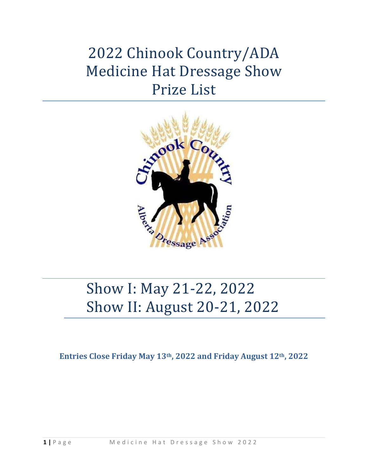# 2022 Chinook Country/ADA Medicine Hat Dressage Show Prize List



# Show I: May 21-22, 2022 Show II: August 20-21, 2022

**Entries Close Friday May 13th, 2022 and Friday August 12th, 2022**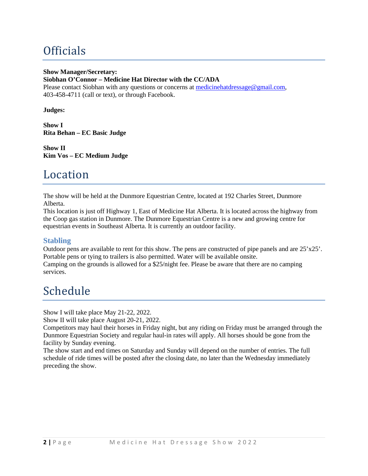# **Officials**

#### **Show Manager/Secretary:**

#### **Siobhan O'Connor – Medicine Hat Director with the CC/ADA**

Please contact Siobhan with any questions or concerns at [medicinehatdressage@gmail.com,](mailto:medicinehatdressage@gmail.com) 403-458-4711 (call or text), or through Facebook.

**Judges:** 

**Show I Rita Behan – EC Basic Judge**

**Show II Kim Vos – EC Medium Judge**

### Location

The show will be held at the Dunmore Equestrian Centre, located at 192 Charles Street, Dunmore Alberta.

This location is just off Highway 1, East of Medicine Hat Alberta. It is located across the highway from the Coop gas station in Dunmore. The Dunmore Equestrian Centre is a new and growing centre for equestrian events in Southeast Alberta. It is currently an outdoor facility.

#### **Stabling**

Outdoor pens are available to rent for this show. The pens are constructed of pipe panels and are 25'x25'. Portable pens or tying to trailers is also permitted. Water will be available onsite.

Camping on the grounds is allowed for a \$25/night fee. Please be aware that there are no camping services.

# Schedule

Show I will take place May 21-22, 2022.

Show II will take place August 20-21, 2022.

Competitors may haul their horses in Friday night, but any riding on Friday must be arranged through the Dunmore Equestrian Society and regular haul-in rates will apply. All horses should be gone from the facility by Sunday evening.

The show start and end times on Saturday and Sunday will depend on the number of entries. The full schedule of ride times will be posted after the closing date, no later than the Wednesday immediately preceding the show.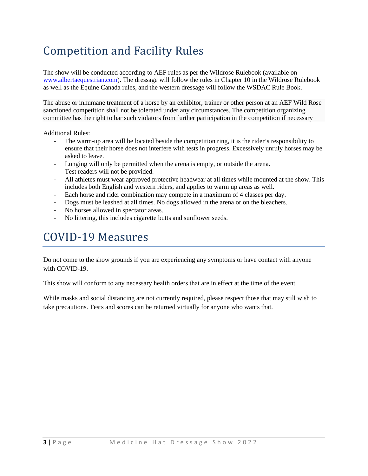# Competition and Facility Rules

The show will be conducted according to AEF rules as per the Wildrose Rulebook (available on [www.albertaequestrian.com\)](http://www.albertaequestrian.com/). The dressage will follow the rules in Chapter 10 in the Wildrose Rulebook as well as the Equine Canada rules, and the western dressage will follow the WSDAC Rule Book.

The abuse or inhumane treatment of a horse by an exhibitor, trainer or other person at an AEF Wild Rose sanctioned competition shall not be tolerated under any circumstances. The competition organizing committee has the right to bar such violators from further participation in the competition if necessary

Additional Rules:

- The warm-up area will be located beside the competition ring, it is the rider's responsibility to ensure that their horse does not interfere with tests in progress. Excessively unruly horses may be asked to leave.
- Lunging will only be permitted when the arena is empty, or outside the arena.
- Test readers will not be provided.
- All athletes must wear approved protective headwear at all times while mounted at the show. This includes both English and western riders, and applies to warm up areas as well.
- Each horse and rider combination may compete in a maximum of 4 classes per day.
- Dogs must be leashed at all times. No dogs allowed in the arena or on the bleachers.
- No horses allowed in spectator areas.
- No littering, this includes cigarette butts and sunflower seeds.

### COVID-19 Measures

Do not come to the show grounds if you are experiencing any symptoms or have contact with anyone with COVID-19.

This show will conform to any necessary health orders that are in effect at the time of the event.

While masks and social distancing are not currently required, please respect those that may still wish to take precautions. Tests and scores can be returned virtually for anyone who wants that.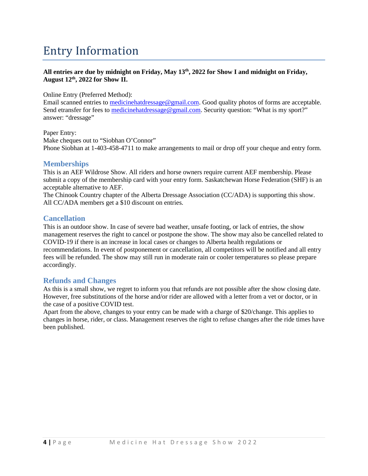### Entry Information

#### **All entries are due by midnight on Friday, May 13th, 2022 for Show I and midnight on Friday, August 12th, 2022 for Show II.**

Online Entry (Preferred Method):

Email scanned entries t[o medicinehatdressage@gmail.com.](mailto:medicinehatdressage@gmail.com) Good quality photos of forms are acceptable. Send etransfer for fees to [medicinehatdressage@gmail.com.](mailto:medicinehatdressage@gmail.com) Security question: "What is my sport?" answer: "dressage"

Paper Entry: Make cheques out to "Siobhan O'Connor" Phone Siobhan at 1-403-458-4711 to make arrangements to mail or drop off your cheque and entry form.

#### **Memberships**

This is an AEF Wildrose Show. All riders and horse owners require current AEF membership. Please submit a copy of the membership card with your entry form. Saskatchewan Horse Federation (SHF) is an acceptable alternative to AEF.

The Chinook Country chapter of the Alberta Dressage Association (CC/ADA) is supporting this show. All CC/ADA members get a \$10 discount on entries.

#### **Cancellation**

This is an outdoor show. In case of severe bad weather, unsafe footing, or lack of entries, the show management reserves the right to cancel or postpone the show. The show may also be cancelled related to COVID-19 if there is an increase in local cases or changes to Alberta health regulations or recommendations. In event of postponement or cancellation, all competitors will be notified and all entry fees will be refunded. The show may still run in moderate rain or cooler temperatures so please prepare accordingly.

#### **Refunds and Changes**

As this is a small show, we regret to inform you that refunds are not possible after the show closing date. However, free substitutions of the horse and/or rider are allowed with a letter from a vet or doctor, or in the case of a positive COVID test.

Apart from the above, changes to your entry can be made with a charge of \$20/change. This applies to changes in horse, rider, or class. Management reserves the right to refuse changes after the ride times have been published.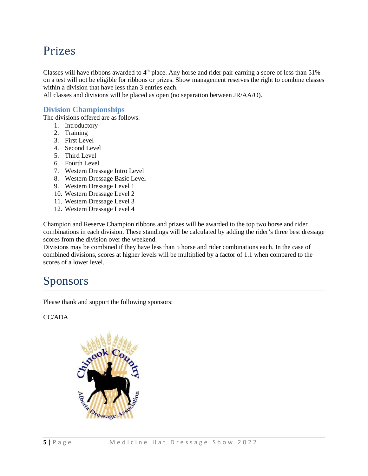### Prizes

Classes will have ribbons awarded to  $4<sup>th</sup>$  place. Any horse and rider pair earning a score of less than 51% on a test will not be eligible for ribbons or prizes. Show management reserves the right to combine classes within a division that have less than 3 entries each.

All classes and divisions will be placed as open (no separation between JR/AA/O).

#### **Division Championships**

The divisions offered are as follows:

- 1. Introductory
- 2. Training
- 3. First Level
- 4. Second Level
- 5. Third Level
- 6. Fourth Level
- 7. Western Dressage Intro Level
- 8. Western Dressage Basic Level
- 9. Western Dressage Level 1
- 10. Western Dressage Level 2
- 11. Western Dressage Level 3
- 12. Western Dressage Level 4

Champion and Reserve Champion ribbons and prizes will be awarded to the top two horse and rider combinations in each division. These standings will be calculated by adding the rider's three best dressage scores from the division over the weekend.

Divisions may be combined if they have less than 5 horse and rider combinations each. In the case of combined divisions, scores at higher levels will be multiplied by a factor of 1.1 when compared to the scores of a lower level.

### Sponsors

Please thank and support the following sponsors:

CC/ADA

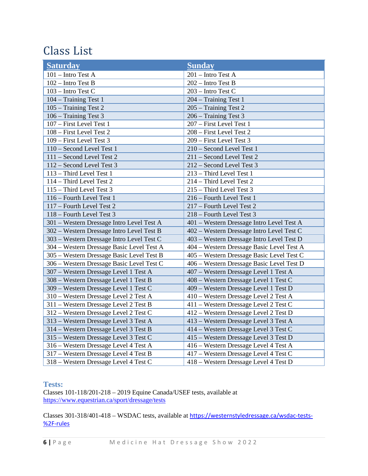## Class List

| <b>Saturday</b>                           | <b>Sunday</b>                             |
|-------------------------------------------|-------------------------------------------|
| 101 - Intro Test A                        | 201 - Intro Test A                        |
| 102 - Intro Test B                        | 202 - Intro Test B                        |
| 103 - Intro Test C                        | 203 - Intro Test C                        |
| 104 - Training Test 1                     | 204 - Training Test 1                     |
| 105 - Training Test 2                     | 205 – Training Test 2                     |
| 106 - Training Test 3                     | 206 - Training Test 3                     |
| 107 - First Level Test 1                  | 207 - First Level Test 1                  |
| 108 - First Level Test 2                  | 208 - First Level Test 2                  |
| 109 - First Level Test 3                  | 209 - First Level Test 3                  |
| 110 - Second Level Test 1                 | 210 - Second Level Test 1                 |
| 111 - Second Level Test 2                 | 211 - Second Level Test 2                 |
| 112 - Second Level Test 3                 | 212 - Second Level Test 3                 |
| 113 - Third Level Test 1                  | 213 - Third Level Test 1                  |
| 114 - Third Level Test 2                  | 214 - Third Level Test 2                  |
| 115 - Third Level Test 3                  | 215 - Third Level Test 3                  |
| 116 - Fourth Level Test 1                 | 216 - Fourth Level Test 1                 |
| 117 - Fourth Level Test 2                 | 217 - Fourth Level Test 2                 |
| 118 - Fourth Level Test 3                 | 218 - Fourth Level Test 3                 |
| 301 - Western Dressage Intro Level Test A | 401 – Western Dressage Intro Level Test A |
| 302 - Western Dressage Intro Level Test B | 402 – Western Dressage Intro Level Test C |
| 303 - Western Dressage Intro Level Test C | 403 - Western Dressage Intro Level Test D |
| 304 - Western Dressage Basic Level Test A | 404 - Western Dressage Basic Level Test A |
| 305 - Western Dressage Basic Level Test B | 405 – Western Dressage Basic Level Test C |
| 306 - Western Dressage Basic Level Test C | 406 – Western Dressage Basic Level Test D |
| 307 - Western Dressage Level 1 Test A     | 407 – Western Dressage Level 1 Test A     |
| 308 - Western Dressage Level 1 Test B     | 408 – Western Dressage Level 1 Test C     |
| 309 - Western Dressage Level 1 Test C     | 409 - Western Dressage Level 1 Test D     |
| 310 - Western Dressage Level 2 Test A     | 410 - Western Dressage Level 2 Test A     |
| 311 - Western Dressage Level 2 Test B     | 411 – Western Dressage Level 2 Test C     |
| 312 - Western Dressage Level 2 Test C     | 412 – Western Dressage Level 2 Test D     |
| 313 - Western Dressage Level 3 Test A     | 413 – Western Dressage Level 3 Test A     |
| 314 - Western Dressage Level 3 Test B     | 414 – Western Dressage Level 3 Test C     |
| 315 – Western Dressage Level 3 Test C     | 415 – Western Dressage Level 3 Test D     |
| 316 - Western Dressage Level 4 Test A     | 416 - Western Dressage Level 4 Test A     |
| 317 – Western Dressage Level 4 Test B     | 417 – Western Dressage Level 4 Test C     |
| 318 – Western Dressage Level 4 Test C     | 418 – Western Dressage Level 4 Test D     |

#### **Tests:**

Classes 101-118/201-218 – 2019 Equine Canada/USEF tests, available at <https://www.equestrian.ca/sport/dressage/tests>

Classes 301-318/401-418 – WSDAC tests, available at [https://westernstyledressage.ca/wsdac-tests-](https://westernstyledressage.ca/wsdac-tests-%2F-rules) [%2F-rules](https://westernstyledressage.ca/wsdac-tests-%2F-rules)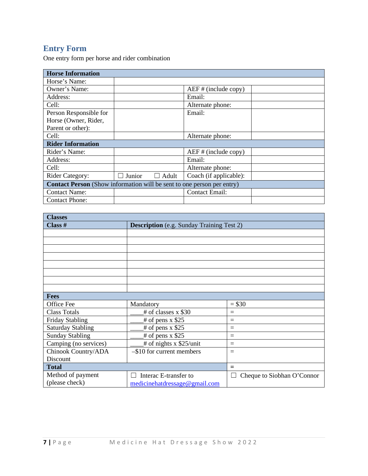### **Entry Form**

One entry form per horse and rider combination

| <b>Horse Information</b>                                                      |                        |                         |  |  |
|-------------------------------------------------------------------------------|------------------------|-------------------------|--|--|
| Horse's Name:                                                                 |                        |                         |  |  |
| Owner's Name:                                                                 |                        | $AEF$ # (include copy)  |  |  |
| Address:                                                                      |                        | Email:                  |  |  |
| Cell:                                                                         |                        | Alternate phone:        |  |  |
| Person Responsible for                                                        |                        | Email:                  |  |  |
| Horse (Owner, Rider,                                                          |                        |                         |  |  |
| Parent or other):                                                             |                        |                         |  |  |
| Cell:                                                                         |                        | Alternate phone:        |  |  |
| <b>Rider Information</b>                                                      |                        |                         |  |  |
| Rider's Name:                                                                 |                        | $AEF \# (include copy)$ |  |  |
| Address:                                                                      |                        | Email:                  |  |  |
| Cell:                                                                         |                        | Alternate phone:        |  |  |
| <b>Rider Category:</b>                                                        | Junior<br>$\Box$ Adult | Coach (if applicable):  |  |  |
| <b>Contact Person</b> (Show information will be sent to one person per entry) |                        |                         |  |  |
| <b>Contact Name:</b>                                                          |                        | <b>Contact Email:</b>   |  |  |
| <b>Contact Phone:</b>                                                         |                        |                         |  |  |

| <b>Classes</b>           |                                                  |                                 |  |
|--------------------------|--------------------------------------------------|---------------------------------|--|
| Class #                  | <b>Description</b> (e.g. Sunday Training Test 2) |                                 |  |
|                          |                                                  |                                 |  |
|                          |                                                  |                                 |  |
|                          |                                                  |                                 |  |
|                          |                                                  |                                 |  |
|                          |                                                  |                                 |  |
|                          |                                                  |                                 |  |
|                          |                                                  |                                 |  |
|                          |                                                  |                                 |  |
| <b>Fees</b>              |                                                  |                                 |  |
| Office Fee               | Mandatory                                        | $= $30$                         |  |
| <b>Class Totals</b>      | # of classes x \$30                              | $\equiv$                        |  |
| <b>Friday Stabling</b>   | $\#$ of pens x \$25                              | $=$                             |  |
| <b>Saturday Stabling</b> | $\#$ of pens x \$25                              | $=$                             |  |
| <b>Sunday Stabling</b>   | $#$ of pens x \$25                               | $=$                             |  |
| Camping (no services)    | $#$ of nights x \$25/unit                        | $=$                             |  |
| Chinook Country/ADA      | -\$10 for current members                        | $=$                             |  |
| Discount                 |                                                  |                                 |  |
| <b>Total</b>             |                                                  | $=$                             |  |
| Method of payment        | Interac E-transfer to                            | Cheque to Siobhan O'Connor<br>L |  |
| (please check)           | medicinehatdressage@gmail.com                    |                                 |  |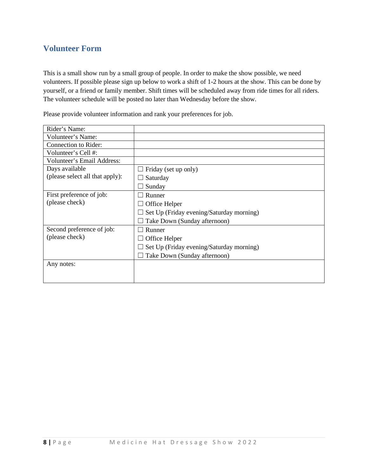### **Volunteer Form**

This is a small show run by a small group of people. In order to make the show possible, we need volunteers. If possible please sign up below to work a shift of 1-2 hours at the show. This can be done by yourself, or a friend or family member. Shift times will be scheduled away from ride times for all riders. The volunteer schedule will be posted no later than Wednesday before the show.

Please provide volunteer information and rank your preferences for job.

| Rider's Name:                   |                                          |
|---------------------------------|------------------------------------------|
| Volunteer's Name:               |                                          |
| Connection to Rider:            |                                          |
| Volunteer's Cell #:             |                                          |
| Volunteer's Email Address:      |                                          |
| Days available                  | Friday (set up only)                     |
| (please select all that apply): | Saturday                                 |
|                                 | Sunday                                   |
| First preference of job:        | Runner                                   |
| (please check)                  | Office Helper                            |
|                                 | Set Up (Friday evening/Saturday morning) |
|                                 | Take Down (Sunday afternoon)             |
| Second preference of job:       | Runner                                   |
| (please check)                  | Office Helper                            |
|                                 | Set Up (Friday evening/Saturday morning) |
|                                 | Take Down (Sunday afternoon)             |
| Any notes:                      |                                          |
|                                 |                                          |
|                                 |                                          |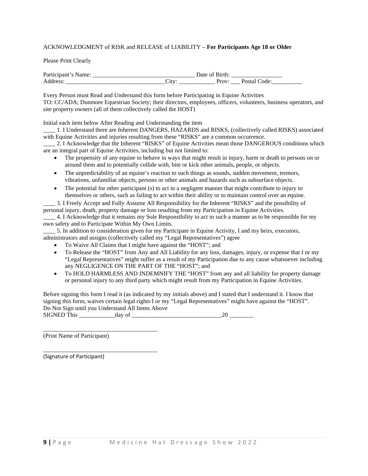#### ACKNOWLEDGMENT of RISK and RELEASE of LIABILITY – **For Participants Age 18 or Older**

#### Please Print Clearly

| D<br>. . |             |  |  |  |
|----------|-------------|--|--|--|
|          | ັບ<br>_____ |  |  |  |

Every Person must Read and Understand this form before Participating in Equine Activities TO: CC/ADA; Dunmore Equestrian Society; their directors, employees, officers, volunteers, business operators, and site property owners (all of them collectively called the HOST)

Initial each item below After Reading and Understanding the item

\_\_\_\_ 1. I Understand there are Inherent DANGERS, HAZARDS and RISKS, (collectively called RISKS) associated with Equine Activities and injuries resulting from these "RISKS" are a common occurrence.

\_\_\_\_ 2. I Acknowledge that the Inherent "RISKS" of Equine Activities mean those DANGEROUS conditions which are an integral part of Equine Activities, including but not limited to:

- The propensity of any equine to behave in ways that might result in injury, harm or death to persons on or around them and to potentially collide with, bite or kick other animals, people, or objects.
- The unpredictability of an equine's reaction to such things as sounds, sudden movement, tremors, vibrations, unfamiliar objects, persons or other animals and hazards such as subsurface objects.
- The potential for other participant (s) to act in a negligent manner that might contribute to injury to themselves or others, such as failing to act within their ability or to maintain control over an equine.

\_\_\_\_ 3. I Freely Accept and Fully Assume All Responsibility for the Inherent "RISKS" and the possibility of personal injury, death, property damage or loss resulting from my Participation in Equine Activities.

\_\_\_\_ 4. I Acknowledge that it remains my Sole Responsibility to act in such a manner as to be responsible for my own safety and to Participate Within My Own Limits.

\_\_\_\_ 5. In addition to consideration given for my Participate in Equine Activity, I and my heirs, executors, administrators and assigns (collectively called my "Legal Representatives") agree

- To Waive All Claims that I might have against the "HOST"; and
- To Release the "HOST" from Any and All Liability for any loss, damages, injury, or expense that I or my "Legal Representatives" might suffer as a result of my Participation due to any cause whatsoever including any NEGLIGENCE ON THE PART OF THE "HOST"; and
- To HOLD HARMLESS AND INDEMNIFY THE "HOST" from any and all liability for property damage or personal injury to any third party which might result from my Participation in Equine Activities.

Before signing this form I read it (as indicated by my initials above) and I stated that I understand it. I know that signing this form, waives certain legal rights I or my "Legal Representatives" might have against the "HOST". Do Not Sign until you Understand All Items Above SIGNED This \_\_\_\_\_\_\_\_\_\_\_\_day of \_\_\_\_\_\_\_\_\_\_\_\_\_\_\_\_\_\_\_\_\_\_\_\_\_\_\_\_\_\_20 \_\_\_\_\_\_\_\_

(Print Name of Participant)

\_\_\_\_\_\_\_\_\_\_\_\_\_\_\_\_\_\_\_\_\_\_\_\_\_\_\_\_\_\_\_\_\_\_\_\_\_\_

\_\_\_\_\_\_\_\_\_\_\_\_\_\_\_\_\_\_\_\_\_\_\_\_\_\_\_\_\_\_\_\_\_\_\_\_\_\_

(Signature of Participant)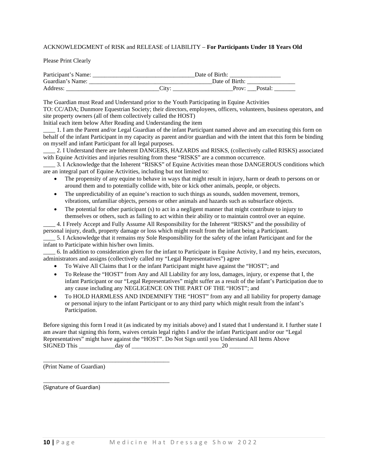#### ACKNOWLEDGMENT of RISK and RELEASE of LIABILITY – **For Participants Under 18 Years Old**

Please Print Clearly

| Participant's Name: | Date of Birth: |                |         |  |
|---------------------|----------------|----------------|---------|--|
| Guardian's Name:    |                | Date of Birth: |         |  |
| Address:            | . litv         | Prov:          | Postal: |  |

The Guardian must Read and Understand prior to the Youth Participating in Equine Activities TO: CC/ADA; Dunmore Equestrian Society; their directors, employees, officers, volunteers, business operators, and

site property owners (all of them collectively called the HOST)

Initial each item below After Reading and Understanding the item

\_\_\_\_ 1. I am the Parent and/or Legal Guardian of the infant Participant named above and am executing this form on behalf of the infant Participant in my capacity as parent and/or guardian and with the intent that this form be binding on myself and infant Participant for all legal purposes.

2. I Understand there are Inherent DANGERS, HAZARDS and RISKS, (collectively called RISKS) associated with Equine Activities and injuries resulting from these "RISKS" are a common occurrence.

\_\_\_\_ 3. I Acknowledge that the Inherent "RISKS" of Equine Activities mean those DANGEROUS conditions which are an integral part of Equine Activities, including but not limited to:

- The propensity of any equine to behave in ways that might result in injury, harm or death to persons on or around them and to potentially collide with, bite or kick other animals, people, or objects.
- The unpredictability of an equine's reaction to such things as sounds, sudden movement, tremors, vibrations, unfamiliar objects, persons or other animals and hazards such as subsurface objects.
- The potential for other participant (s) to act in a negligent manner that might contribute to injury to themselves or others, such as failing to act within their ability or to maintain control over an equine.

\_\_\_\_ 4. I Freely Accept and Fully Assume All Responsibility for the Inherent "RISKS" and the possibility of personal injury, death, property damage or loss which might result from the infant being a Participant.

\_\_\_\_ 5. I Acknowledge that it remains my Sole Responsibility for the safety of the infant Participant and for the infant to Participate within his/her own limits.

\_\_\_\_ 6. In addition to consideration given for the infant to Participate in Equine Activity, I and my heirs, executors, administrators and assigns (collectively called my "Legal Representatives") agree

- To Waive All Claims that I or the infant Participant might have against the "HOST"; and
- To Release the "HOST" from Any and All Liability for any loss, damages, injury, or expense that I, the infant Participant or our "Legal Representatives" might suffer as a result of the infant's Participation due to any cause including any NEGLIGENCE ON THE PART OF THE "HOST"; and
- To HOLD HARMLESS AND INDEMNIFY THE "HOST" from any and all liability for property damage or personal injury to the infant Participant or to any third party which might result from the infant's Participation.

Before signing this form I read it (as indicated by my initials above) and I stated that I understand it. I further state I am aware that signing this form, waives certain legal rights I and/or the infant Participant and/or our "Legal Representatives" might have against the "HOST". Do Not Sign until you Understand All Items Above  $SIGNED$  This  $\_\_\_\_\_\_\_$  day of  $\_\_\_\_\_\_\_\_$ 

(Print Name of Guardian)

\_\_\_\_\_\_\_\_\_\_\_\_\_\_\_\_\_\_\_\_\_\_\_\_\_\_\_\_\_\_\_\_\_\_\_\_\_\_\_\_\_\_

\_\_\_\_\_\_\_\_\_\_\_\_\_\_\_\_\_\_\_\_\_\_\_\_\_\_\_\_\_\_\_\_\_\_\_\_\_\_\_\_\_\_

(Signature of Guardian)